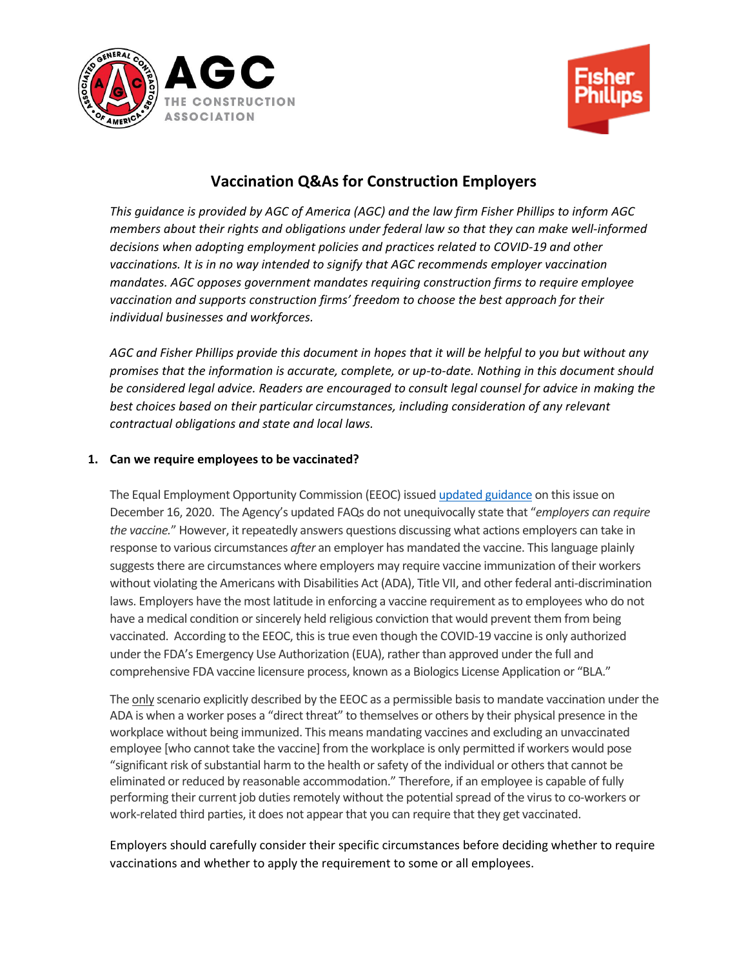



# **Vaccination Q&As for Construction Employers**

*This guidance is provided by AGC of America (AGC) and the law firm Fisher Phillips to inform AGC members about their rights and obligations under federal law so that they can make well-informed decisions when adopting employment policies and practices related to COVID-19 and other vaccinations. It is in no way intended to signify that AGC recommends employer vaccination mandates. AGC opposes government mandates requiring construction firms to require employee vaccination and supports construction firms' freedom to choose the best approach for their individual businesses and workforces.* 

*AGC and Fisher Phillips provide this document in hopes that it will be helpful to you but without any promises that the information is accurate, complete, or up-to-date. Nothing in this document should be considered legal advice. Readers are encouraged to consult legal counsel for advice in making the best choices based on their particular circumstances, including consideration of any relevant contractual obligations and state and local laws.*

### **1. Can we require employees to be vaccinated?**

The Equal Employment Opportunity Commission (EEOC) issue[d updated guidance](https://www.eeoc.gov/wysk/what-you-should-know-about-covid-19-and-ada-rehabilitation-act-and-other-eeo-laws) on this issue on December 16, 2020. The Agency's updated FAQs do not unequivocally state that "*employers can require the vaccine.*" However, it repeatedly answers questions discussing what actions employers can take in response to various circumstances *after* an employer has mandated the vaccine. This language plainly suggests there are circumstances where employers may require vaccine immunization of their workers without violating the Americans with Disabilities Act (ADA), Title VII, and other federal anti-discrimination laws. Employers have the most latitude in enforcing a vaccine requirement as to employees who do not have a medical condition or sincerely held religious conviction that would prevent them from being vaccinated. According to the EEOC, this is true even though the COVID-19 vaccine is only authorized under the FDA's Emergency Use Authorization (EUA), rather than approved under the full and comprehensive FDA vaccine licensure process, known as a Biologics License Application or "BLA."

The only scenario explicitly described by the EEOC as a permissible basis to mandate vaccination under the ADA is when a worker poses a "direct threat" to themselves or others by their physical presence in the workplace without being immunized. This means mandating vaccines and excluding an unvaccinated employee [who cannot take the vaccine] from the workplace is only permitted if workers would pose "significant risk of substantial harm to the health or safety of the individual or others that cannot be eliminated or reduced by reasonable accommodation." Therefore, if an employee is capable of fully performing their current job duties remotely without the potential spread of the virus to co-workers or work-related third parties, it does not appear that you can require that they get vaccinated.

Employers should carefully consider their specific circumstances before deciding whether to require vaccinations and whether to apply the requirement to some or all employees.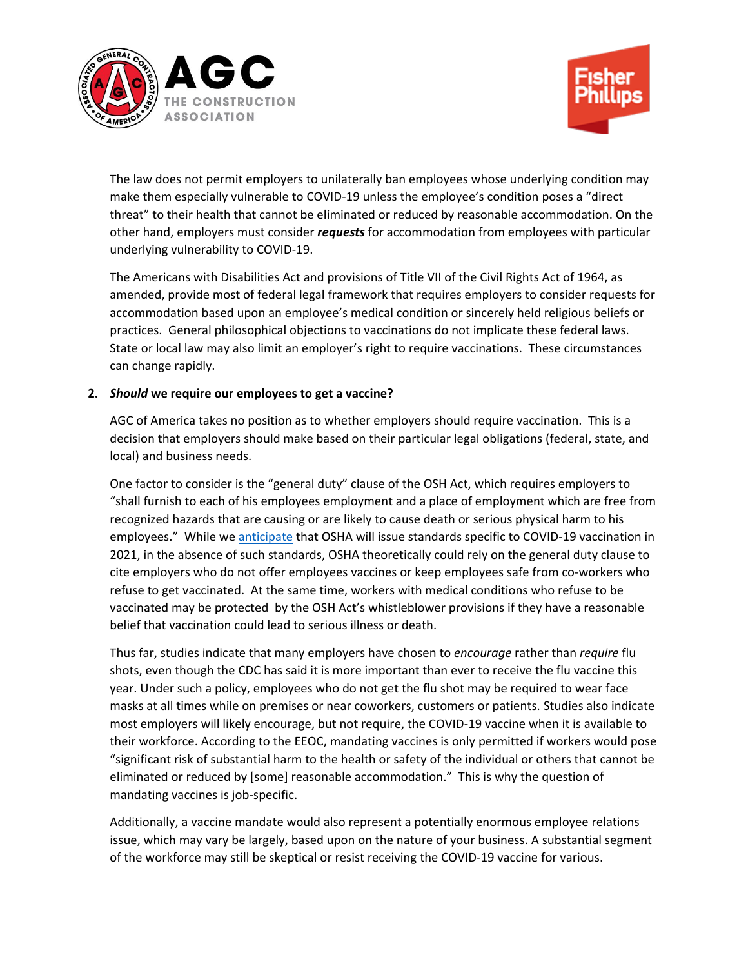



The law does not permit employers to unilaterally ban employees whose underlying condition may make them especially vulnerable to COVID-19 unless the employee's condition poses a "direct threat" to their health that cannot be eliminated or reduced by reasonable accommodation. On the other hand, employers must consider *requests* for accommodation from employees with particular underlying vulnerability to COVID-19.

The Americans with Disabilities Act and provisions of Title VII of the Civil Rights Act of 1964, as amended, provide most of federal legal framework that requires employers to consider requests for accommodation based upon an employee's medical condition or sincerely held religious beliefs or practices. General philosophical objections to vaccinations do not implicate these federal laws. State or local law may also limit an employer's right to require vaccinations. These circumstances can change rapidly.

### **2.** *Should* **we require our employees to get a vaccine?**

AGC of America takes no position as to whether employers should require vaccination. This is a decision that employers should make based on their particular legal obligations (federal, state, and local) and business needs.

One factor to consider is the "general duty" clause of the OSH Act, which requires employers to "shall furnish to each of his employees employment and a place of employment which are free from recognized hazards that are causing or are likely to cause death or serious physical harm to his employees." While we [anticipate](https://www.fisherphillips.com/Workplace-Safety-and-Health-Law-Blog/oshas-potential-covid-19-standard) that OSHA will issue standards specific to COVID-19 vaccination in 2021, in the absence of such standards, OSHA theoretically could rely on the general duty clause to cite employers who do not offer employees vaccines or keep employees safe from co-workers who refuse to get vaccinated. At the same time, workers with medical conditions who refuse to be vaccinated may be protected by the OSH Act's whistleblower provisions if they have a reasonable belief that vaccination could lead to serious illness or death.

Thus far, studies indicate that many employers have chosen to *encourage* rather than *require* flu shots, even though the CDC has said it is more important than ever to receive the flu vaccine this year. Under such a policy, employees who do not get the flu shot may be required to wear face masks at all times while on premises or near coworkers, customers or patients. Studies also indicate most employers will likely encourage, but not require, the COVID-19 vaccine when it is available to their workforce. According to the EEOC, mandating vaccines is only permitted if workers would pose "significant risk of substantial harm to the health or safety of the individual or others that cannot be eliminated or reduced by [some] reasonable accommodation." This is why the question of mandating vaccines is job-specific.

Additionally, a vaccine mandate would also represent a potentially enormous employee relations issue, which may vary be largely, based upon on the nature of your business. A substantial segment of the workforce may still be skeptical or resist receiving the COVID-19 vaccine for various.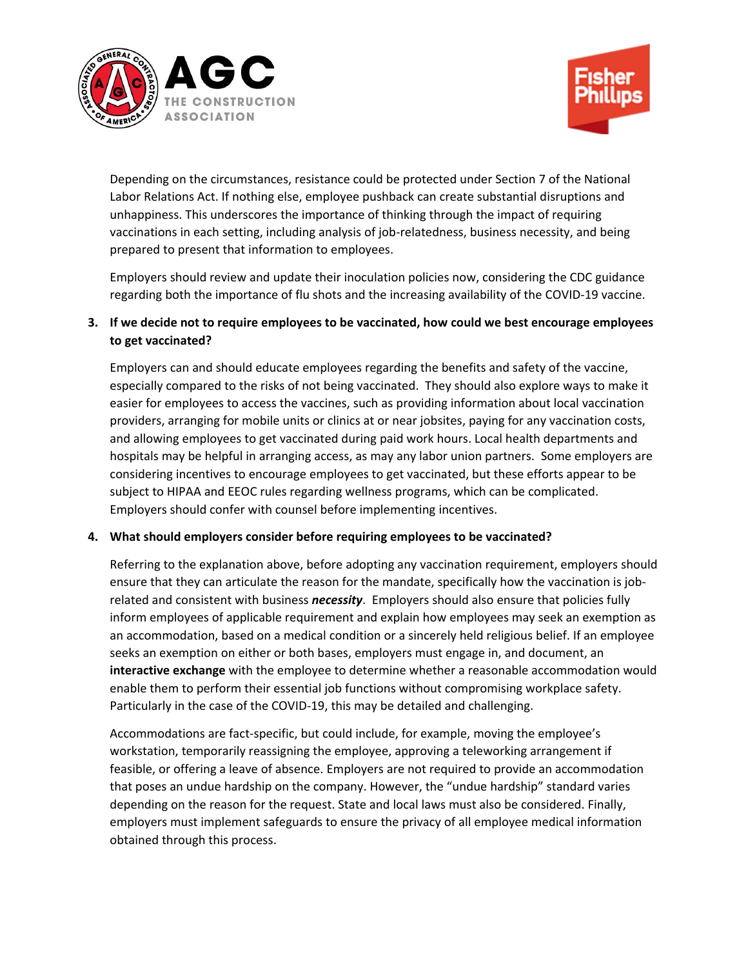



Depending on the circumstances, resistance could be protected under Section 7 of the National Labor Relations Act. If nothing else, employee pushback can create substantial disruptions and unhappiness. This underscores the importance of thinking through the impact of requiring vaccinations in each setting, including analysis of job-relatedness, business necessity, and being prepared to present that information to employees.

Employers should review and update their inoculation policies now, considering the CDC guidance regarding both the importance of flu shots and the increasing availability of the COVID-19 vaccine.

# **3. If we decide not to require employees to be vaccinated, how could we best encourage employees to get vaccinated?**

Employers can and should educate employees regarding the benefits and safety of the vaccine, especially compared to the risks of not being vaccinated. They should also explore ways to make it easier for employees to access the vaccines, such as providing information about local vaccination providers, arranging for mobile units or clinics at or near jobsites, paying for any vaccination costs, and allowing employees to get vaccinated during paid work hours. Local health departments and hospitals may be helpful in arranging access, as may any labor union partners. Some employers are considering incentives to encourage employees to get vaccinated, but these efforts appear to be subject to HIPAA and EEOC rules regarding wellness programs, which can be complicated. Employers should confer with counsel before implementing incentives.

# **4. What should employers consider before requiring employees to be vaccinated?**

Referring to the explanation above, before adopting any vaccination requirement, employers should ensure that they can articulate the reason for the mandate, specifically how the vaccination is jobrelated and consistent with business *necessity*. Employers should also ensure that policies fully inform employees of applicable requirement and explain how employees may seek an exemption as an accommodation, based on a medical condition or a sincerely held religious belief. If an employee seeks an exemption on either or both bases, employers must engage in, and document, an **interactive exchange** with the employee to determine whether a reasonable accommodation would enable them to perform their essential job functions without compromising workplace safety. Particularly in the case of the COVID-19, this may be detailed and challenging.

Accommodations are fact-specific, but could include, for example, moving the employee's workstation, temporarily reassigning the employee, approving a teleworking arrangement if feasible, or offering a leave of absence. Employers are not required to provide an accommodation that poses an undue hardship on the company. However, the "undue hardship" standard varies depending on the reason for the request. State and local laws must also be considered. Finally, employers must implement safeguards to ensure the privacy of all employee medical information obtained through this process.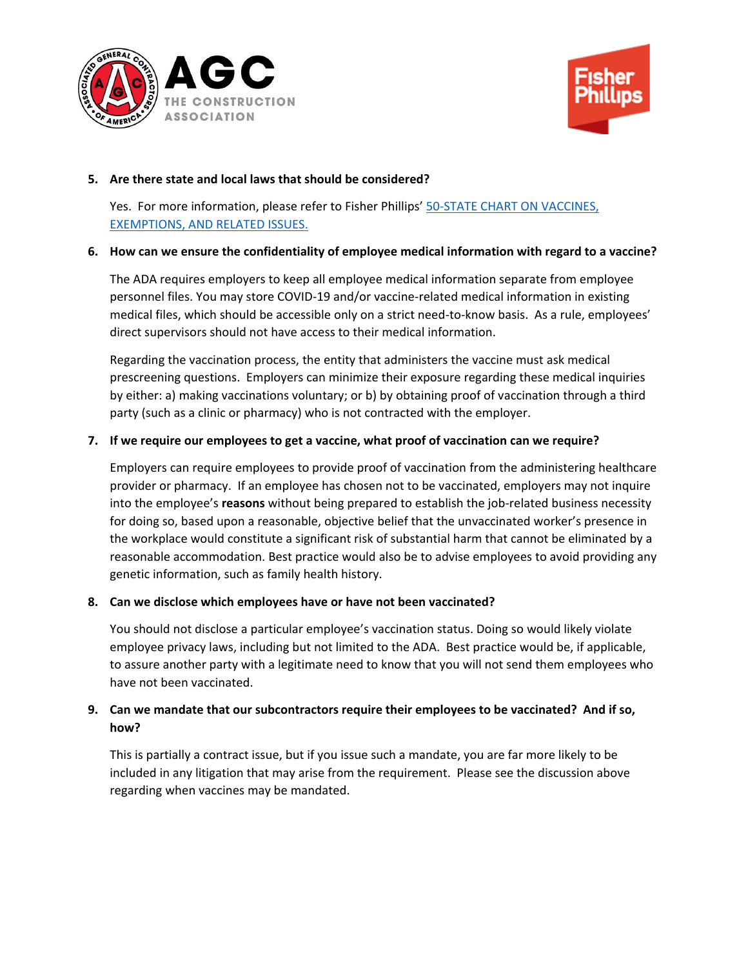



#### **5. Are there state and local laws that should be considered?**

Yes. For more information, please refer to Fisher Phillips' 50-STATE CHART ON VACCINES, [EXEMPTIONS, AND RELATED ISSUES.](https://www.fisherphillips.com/assets/htmldocuments/Vaccines%20Subcommittee%20-%2050%20State%20Vaccine%20Vaccination%20and%20Immunization.xlsx)

### **6. How can we ensure the confidentiality of employee medical information with regard to a vaccine?**

The ADA requires employers to keep all employee medical information separate from employee personnel files. You may store COVID-19 and/or vaccine-related medical information in existing medical files, which should be accessible only on a strict need-to-know basis. As a rule, employees' direct supervisors should not have access to their medical information.

Regarding the vaccination process, the entity that administers the vaccine must ask medical prescreening questions. Employers can minimize their exposure regarding these medical inquiries by either: a) making vaccinations voluntary; or b) by obtaining proof of vaccination through a third party (such as a clinic or pharmacy) who is not contracted with the employer.

# **7. If we require our employees to get a vaccine, what proof of vaccination can we require?**

Employers can require employees to provide proof of vaccination from the administering healthcare provider or pharmacy. If an employee has chosen not to be vaccinated, employers may not inquire into the employee's **reasons** without being prepared to establish the job-related business necessity for doing so, based upon a reasonable, objective belief that the unvaccinated worker's presence in the workplace would constitute a significant risk of substantial harm that cannot be eliminated by a reasonable accommodation. Best practice would also be to advise employees to avoid providing any genetic information, such as family health history.

#### **8. Can we disclose which employees have or have not been vaccinated?**

You should not disclose a particular employee's vaccination status. Doing so would likely violate employee privacy laws, including but not limited to the ADA. Best practice would be, if applicable, to assure another party with a legitimate need to know that you will not send them employees who have not been vaccinated.

# **9. Can we mandate that our subcontractors require their employees to be vaccinated? And if so, how?**

This is partially a contract issue, but if you issue such a mandate, you are far more likely to be included in any litigation that may arise from the requirement. Please see the discussion above regarding when vaccines may be mandated.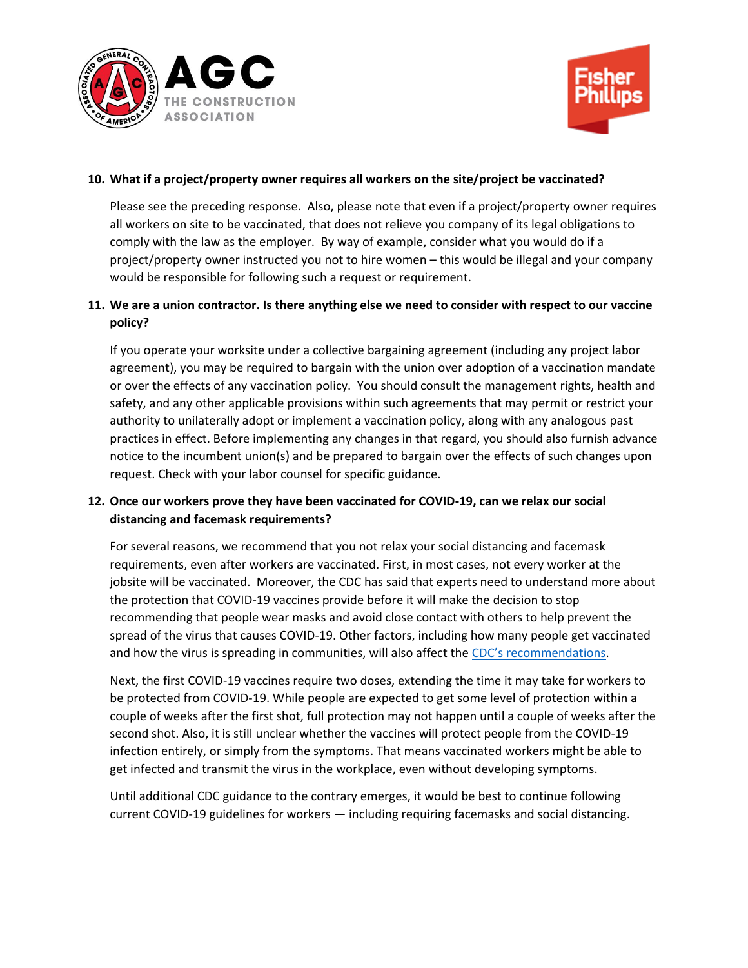



## **10. What if a project/property owner requires all workers on the site/project be vaccinated?**

Please see the preceding response. Also, please note that even if a project/property owner requires all workers on site to be vaccinated, that does not relieve you company of its legal obligations to comply with the law as the employer. By way of example, consider what you would do if a project/property owner instructed you not to hire women – this would be illegal and your company would be responsible for following such a request or requirement.

# **11. We are a union contractor. Is there anything else we need to consider with respect to our vaccine policy?**

If you operate your worksite under a collective bargaining agreement (including any project labor agreement), you may be required to bargain with the union over adoption of a vaccination mandate or over the effects of any vaccination policy. You should consult the management rights, health and safety, and any other applicable provisions within such agreements that may permit or restrict your authority to unilaterally adopt or implement a vaccination policy, along with any analogous past practices in effect. Before implementing any changes in that regard, you should also furnish advance notice to the incumbent union(s) and be prepared to bargain over the effects of such changes upon request. Check with your labor counsel for specific guidance.

# **12. Once our workers prove they have been vaccinated for COVID-19, can we relax our social distancing and facemask requirements?**

For several reasons, we recommend that you not relax your social distancing and facemask requirements, even after workers are vaccinated. First, in most cases, not every worker at the jobsite will be vaccinated. Moreover, the CDC has said that experts need to understand more about the protection that COVID-19 vaccines provide before it will make the decision to stop recommending that people wear masks and avoid close contact with others to help prevent the spread of the virus that causes COVID-19. Other factors, including how many people get vaccinated and how the virus is spreading in communities, will also affect the [CDC's recommendations](https://fisherphillips.sharepoint.com/:w:/r/sites/Vaccines/_layouts/15/Doc.aspx?sourcedoc=%7BB4F04E64-235A-488B-9AF0-EA97F9AFB770%7D&file=VACCINE%20-%20COVID-19%20Vaccine%20FAQs.docx&action=default&mobileredirect=true&DefaultItemOpen=1).

Next, the first COVID-19 vaccines require two doses, extending the time it may take for workers to be protected from COVID-19. While people are expected to get some level of protection within a couple of weeks after the first shot, full protection may not happen until a couple of weeks after the second shot. Also, it is still unclear whether the vaccines will protect people from the COVID-19 infection entirely, or simply from the symptoms. That means vaccinated workers might be able to get infected and transmit the virus in the workplace, even without developing symptoms.

Until additional CDC guidance to the contrary emerges, it would be best to continue following current COVID-19 guidelines for workers — including requiring facemasks and social distancing.